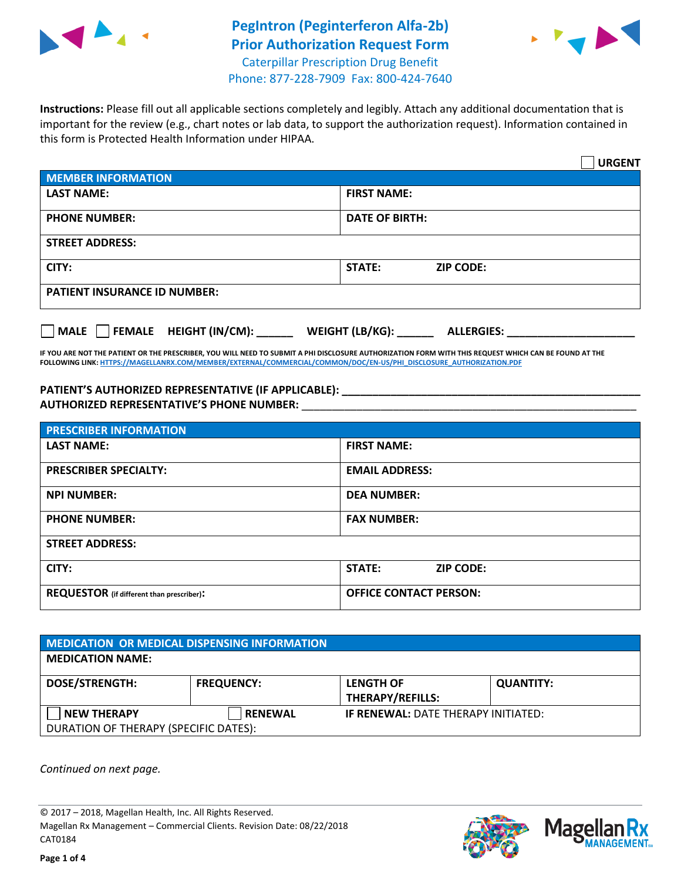

## **PegIntron (Peginterferon Alfa-2b) Prior Authorization Request Form** Caterpillar Prescription Drug Benefit



Phone: 877-228-7909 Fax: 800-424-7640

**Instructions:** Please fill out all applicable sections completely and legibly. Attach any additional documentation that is important for the review (e.g., chart notes or lab data, to support the authorization request). Information contained in this form is Protected Health Information under HIPAA.

|                                                | <b>URGENT</b>                        |
|------------------------------------------------|--------------------------------------|
| <b>MEMBER INFORMATION</b>                      |                                      |
| <b>LAST NAME:</b>                              | <b>FIRST NAME:</b>                   |
| <b>PHONE NUMBER:</b>                           | <b>DATE OF BIRTH:</b>                |
| <b>STREET ADDRESS:</b>                         |                                      |
| CITY:                                          | <b>STATE:</b><br><b>ZIP CODE:</b>    |
| <b>PATIENT INSURANCE ID NUMBER:</b>            |                                      |
| $\Box$ FEMALE HEIGHT (IN/CM): _<br><b>MALE</b> | WEIGHT (LB/KG):<br><b>ALLERGIES:</b> |

**IF YOU ARE NOT THE PATIENT OR THE PRESCRIBER, YOU WILL NEED TO SUBMIT A PHI DISCLOSURE AUTHORIZATION FORM WITH THIS REQUEST WHICH CAN BE FOUND AT THE FOLLOWING LINK[: HTTPS://MAGELLANRX.COM/MEMBER/EXTERNAL/COMMERCIAL/COMMON/DOC/EN-US/PHI\\_DISCLOSURE\\_AUTHORIZATION.PDF](https://magellanrx.com/member/external/commercial/common/doc/en-us/PHI_Disclosure_Authorization.pdf)**

**PATIENT'S AUTHORIZED REPRESENTATIVE (IF APPLICABLE): \_\_\_\_\_\_\_\_\_\_\_\_\_\_\_\_\_\_\_\_\_\_\_\_\_\_\_\_\_\_\_\_\_\_\_\_\_\_\_\_\_\_\_\_\_\_\_\_\_ AUTHORIZED REPRESENTATIVE'S PHONE NUMBER:** \_\_\_\_\_\_\_\_\_\_\_\_\_\_\_\_\_\_\_\_\_\_\_\_\_\_\_\_\_\_\_\_\_\_\_\_\_\_\_\_\_\_\_\_\_\_\_\_\_\_\_\_\_\_\_

| <b>PRESCRIBER INFORMATION</b>             |                               |  |
|-------------------------------------------|-------------------------------|--|
| <b>LAST NAME:</b>                         | <b>FIRST NAME:</b>            |  |
| <b>PRESCRIBER SPECIALTY:</b>              | <b>EMAIL ADDRESS:</b>         |  |
| <b>NPI NUMBER:</b>                        | <b>DEA NUMBER:</b>            |  |
| <b>PHONE NUMBER:</b>                      | <b>FAX NUMBER:</b>            |  |
| <b>STREET ADDRESS:</b>                    |                               |  |
| CITY:                                     | STATE:<br><b>ZIP CODE:</b>    |  |
| REQUESTOR (if different than prescriber): | <b>OFFICE CONTACT PERSON:</b> |  |

| <b>MEDICATION OR MEDICAL DISPENSING INFORMATION</b> |                   |                                            |                  |  |
|-----------------------------------------------------|-------------------|--------------------------------------------|------------------|--|
| <b>MEDICATION NAME:</b>                             |                   |                                            |                  |  |
| <b>DOSE/STRENGTH:</b>                               | <b>FREQUENCY:</b> | <b>LENGTH OF</b>                           | <b>QUANTITY:</b> |  |
|                                                     |                   | <b>THERAPY/REFILLS:</b>                    |                  |  |
| <b>NEW THERAPY</b>                                  | <b>RENEWAL</b>    | <b>IF RENEWAL: DATE THERAPY INITIATED:</b> |                  |  |
| DURATION OF THERAPY (SPECIFIC DATES):               |                   |                                            |                  |  |

*Continued on next page.*

© 2017 – 2018, Magellan Health, Inc. All Rights Reserved. Magellan Rx Management – Commercial Clients. Revision Date: 08/22/2018 CAT0184



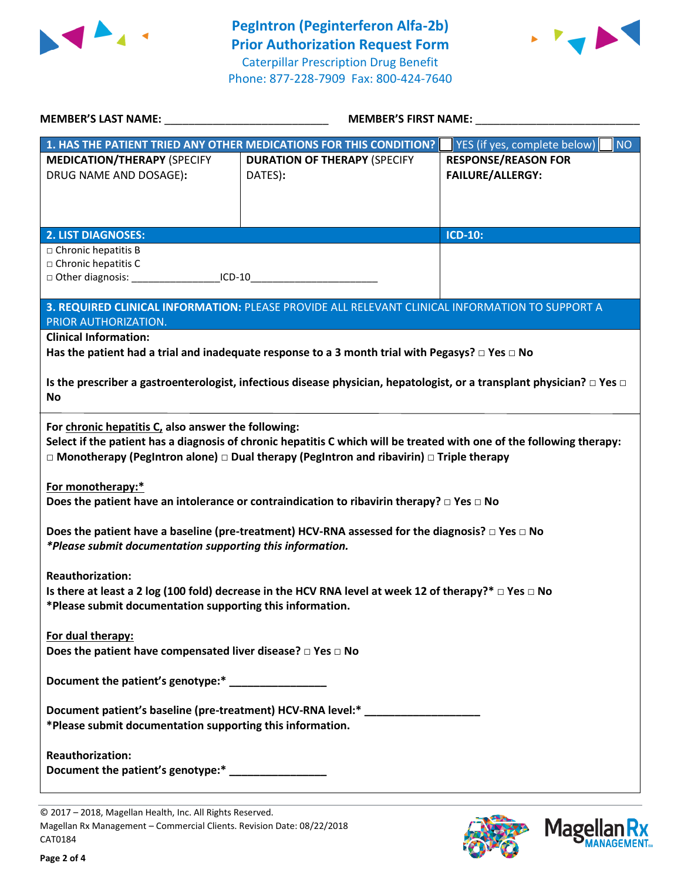



| <b>MEMBER'S LAST NAME:</b>                                                                                                                                                                                                                                                               | <b>MEMBER'S FIRST NAME:</b>                    |                                                                                                                                  |  |  |
|------------------------------------------------------------------------------------------------------------------------------------------------------------------------------------------------------------------------------------------------------------------------------------------|------------------------------------------------|----------------------------------------------------------------------------------------------------------------------------------|--|--|
| 1. HAS THE PATIENT TRIED ANY OTHER MEDICATIONS FOR THIS CONDITION?                                                                                                                                                                                                                       |                                                | YES (if yes, complete below)<br><b>NO</b>                                                                                        |  |  |
| <b>MEDICATION/THERAPY (SPECIFY</b><br>DRUG NAME AND DOSAGE):                                                                                                                                                                                                                             | <b>DURATION OF THERAPY (SPECIFY</b><br>DATES): | <b>RESPONSE/REASON FOR</b><br><b>FAILURE/ALLERGY:</b>                                                                            |  |  |
| <b>2. LIST DIAGNOSES:</b>                                                                                                                                                                                                                                                                |                                                | <b>ICD-10:</b>                                                                                                                   |  |  |
| $\Box$ Chronic hepatitis B<br>$\square$ Chronic hepatitis C<br>□ Other diagnosis: ____________________ICD-10__________________________________                                                                                                                                           |                                                |                                                                                                                                  |  |  |
| 3. REQUIRED CLINICAL INFORMATION: PLEASE PROVIDE ALL RELEVANT CLINICAL INFORMATION TO SUPPORT A<br>PRIOR AUTHORIZATION.                                                                                                                                                                  |                                                |                                                                                                                                  |  |  |
| <b>Clinical Information:</b>                                                                                                                                                                                                                                                             |                                                |                                                                                                                                  |  |  |
| Has the patient had a trial and inadequate response to a 3 month trial with Pegasys? $\Box$ Yes $\Box$ No                                                                                                                                                                                |                                                |                                                                                                                                  |  |  |
| No                                                                                                                                                                                                                                                                                       |                                                | Is the prescriber a gastroenterologist, infectious disease physician, hepatologist, or a transplant physician? $\Box$ Yes $\Box$ |  |  |
| For chronic hepatitis C, also answer the following:<br>Select if the patient has a diagnosis of chronic hepatitis C which will be treated with one of the following therapy:<br>$\Box$ Monotherapy (PegIntron alone) $\Box$ Dual therapy (PegIntron and ribavirin) $\Box$ Triple therapy |                                                |                                                                                                                                  |  |  |
| For monotherapy:*<br>Does the patient have an intolerance or contraindication to ribavirin therapy? $\Box$ Yes $\Box$ No                                                                                                                                                                 |                                                |                                                                                                                                  |  |  |
| Does the patient have a baseline (pre-treatment) HCV-RNA assessed for the diagnosis? $\square$ Yes $\square$ No<br>*Please submit documentation supporting this information.                                                                                                             |                                                |                                                                                                                                  |  |  |
| <b>Reauthorization:</b><br>Is there at least a 2 log (100 fold) decrease in the HCV RNA level at week 12 of therapy?* $\Box$ Yes $\Box$ No<br>*Please submit documentation supporting this information.                                                                                  |                                                |                                                                                                                                  |  |  |
| For dual therapy:<br>Does the patient have compensated liver disease? $\Box$ Yes $\Box$ No                                                                                                                                                                                               |                                                |                                                                                                                                  |  |  |
| Document the patient's genotype:* _______________                                                                                                                                                                                                                                        |                                                |                                                                                                                                  |  |  |
| Document patient's baseline (pre-treatment) HCV-RNA level:* ________<br>*Please submit documentation supporting this information.                                                                                                                                                        |                                                |                                                                                                                                  |  |  |
| <b>Reauthorization:</b><br>Document the patient's genotype:* ________________                                                                                                                                                                                                            |                                                |                                                                                                                                  |  |  |





<sup>© 2017</sup> – 2018, Magellan Health, Inc. All Rights Reserved. Magellan Rx Management – Commercial Clients. Revision Date: 08/22/2018 CAT0184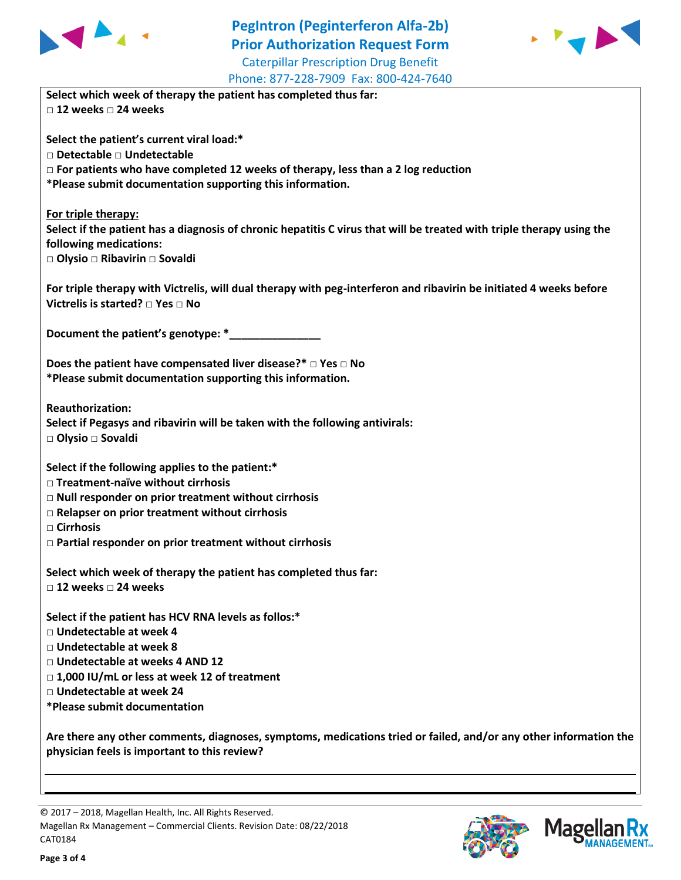

## **PegIntron (Peginterferon Alfa-2b) Prior Authorization Request Form** Caterpillar Prescription Drug Benefit



| Phone: 877-228-7909 Fax: 800-424-7640                                                                                                                  |
|--------------------------------------------------------------------------------------------------------------------------------------------------------|
| Select which week of therapy the patient has completed thus far:                                                                                       |
| $\Box$ 12 weeks $\Box$ 24 weeks                                                                                                                        |
| Select the patient's current viral load:*                                                                                                              |
| □ Detectable □ Undetectable                                                                                                                            |
| $\Box$ For patients who have completed 12 weeks of therapy, less than a 2 log reduction                                                                |
| *Please submit documentation supporting this information.                                                                                              |
|                                                                                                                                                        |
| For triple therapy:                                                                                                                                    |
| Select if the patient has a diagnosis of chronic hepatitis C virus that will be treated with triple therapy using the                                  |
| following medications:                                                                                                                                 |
| □ Olysio □ Ribavirin □ Sovaldi                                                                                                                         |
| For triple therapy with Victrelis, will dual therapy with peg-interferon and ribavirin be initiated 4 weeks before<br>Victrelis is started? □ Yes □ No |
| Document the patient's genotype: *                                                                                                                     |
| Does the patient have compensated liver disease?* $\Box$ Yes $\Box$ No                                                                                 |
| *Please submit documentation supporting this information.                                                                                              |
|                                                                                                                                                        |
| <b>Reauthorization:</b>                                                                                                                                |
| Select if Pegasys and ribavirin will be taken with the following antivirals:                                                                           |
| □ Olysio □ Sovaldi                                                                                                                                     |
|                                                                                                                                                        |
| Select if the following applies to the patient:*                                                                                                       |
| □ Treatment-naïve without cirrhosis                                                                                                                    |
| □ Null responder on prior treatment without cirrhosis                                                                                                  |
| $\Box$ Relapser on prior treatment without cirrhosis                                                                                                   |
| □ Cirrhosis                                                                                                                                            |
| $\Box$ Partial responder on prior treatment without cirrhosis                                                                                          |
|                                                                                                                                                        |
| Select which week of therapy the patient has completed thus far:                                                                                       |
| $\Box$ 12 weeks $\Box$ 24 weeks                                                                                                                        |
|                                                                                                                                                        |
| Select if the patient has HCV RNA levels as follos:*                                                                                                   |
| □ Undetectable at week 4                                                                                                                               |
| □ Undetectable at week 8                                                                                                                               |
| □ Undetectable at weeks 4 AND 12                                                                                                                       |
| □ 1,000 IU/mL or less at week 12 of treatment                                                                                                          |
| □ Undetectable at week 24                                                                                                                              |
| *Please submit documentation                                                                                                                           |
|                                                                                                                                                        |
| Are there any other comments, diagnoses, symptoms, medications tried or failed, and/or any other information the                                       |
| physician feels is important to this review?                                                                                                           |
|                                                                                                                                                        |